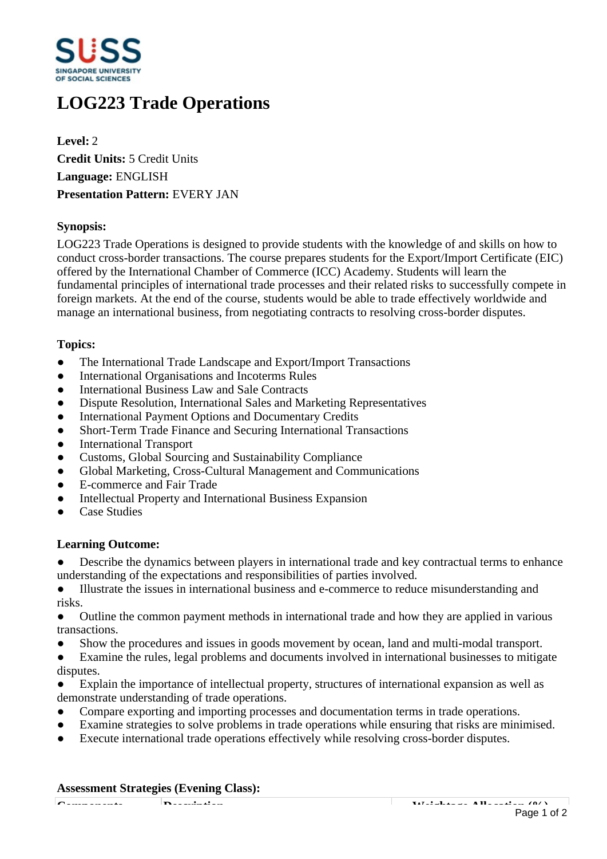

# **LOG223 Trade Operations**

**Level:** 2 **Credit Units:** 5 Credit Units **Language:** ENGLISH **Presentation Pattern:** EVERY JAN

## **Synopsis:**

LOG223 Trade Operations is designed to provide students with the knowledge of and skills on how to conduct cross-border transactions. The course prepares students for the Export/Import Certificate (EIC) offered by the International Chamber of Commerce (ICC) Academy. Students will learn the fundamental principles of international trade processes and their related risks to successfully compete in foreign markets. At the end of the course, students would be able to trade effectively worldwide and manage an international business, from negotiating contracts to resolving cross-border disputes.

## **Topics:**

- The International Trade Landscape and Export/Import Transactions
- International Organisations and Incoterms Rules
- International Business Law and Sale Contracts
- Dispute Resolution, International Sales and Marketing Representatives
- International Payment Options and Documentary Credits
- Short-Term Trade Finance and Securing International Transactions
- International Transport
- Customs, Global Sourcing and Sustainability Compliance
- ƔGlobal Marketing, Cross-Cultural Management and Communications
- E-commerce and Fair Trade
- Intellectual Property and International Business Expansion
- ƔCase Studies

### **Learning Outcome:**

• Describe the dynamics between players in international trade and key contractual terms to enhance understanding of the expectations and responsibilities of parties involved.

ƔIllustrate the issues in international business and e-commerce to reduce misunderstanding and risks.

• Outline the common payment methods in international trade and how they are applied in various transactions.

- Show the procedures and issues in goods movement by ocean, land and multi-modal transport.
- Examine the rules, legal problems and documents involved in international businesses to mitigate disputes.

Explain the importance of intellectual property, structures of international expansion as well as demonstrate understanding of trade operations.

- Compare exporting and importing processes and documentation terms in trade operations.
- Examine strategies to solve problems in trade operations while ensuring that risks are minimised.
- Execute international trade operations effectively while resolving cross-border disputes.

### **Assessment Strategies (Evening Class):**